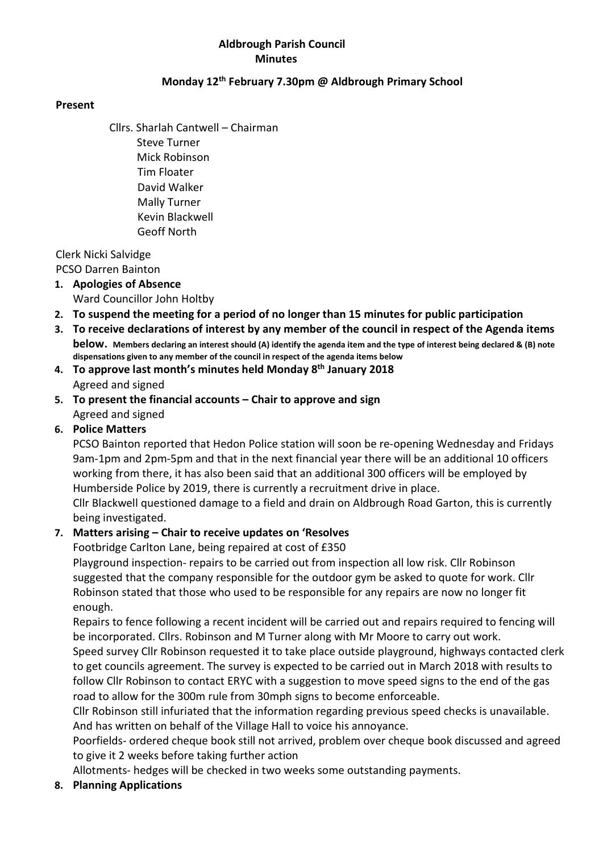#### Aldbrough Parish Council **Minutes**

#### Monday 12th February 7.30pm @ Aldbrough Primary School

#### Present

Cllrs. Sharlah Cantwell – Chairman Steve Turner Mick Robinson Tim Floater David Walker Mally Turner Kevin Blackwell Geoff North

Clerk Nicki Salvidge

PCSO Darren Bainton

- 1. Apologies of Absence Ward Councillor John Holtby
- 2. To suspend the meeting for a period of no longer than 15 minutes for public participation
- 3. To receive declarations of interest by any member of the council in respect of the Agenda items below. Members declaring an interest should (A) identify the agenda item and the type of interest being declared & (B) note dispensations given to any member of the council in respect of the agenda items below
- 4. To approve last month's minutes held Monday 8th January 2018 Agreed and signed
- 5. To present the financial accounts Chair to approve and sign Agreed and signed
- 6. Police Matters

PCSO Bainton reported that Hedon Police station will soon be re-opening Wednesday and Fridays 9am-1pm and 2pm-5pm and that in the next financial year there will be an additional 10 officers working from there, it has also been said that an additional 300 officers will be employed by Humberside Police by 2019, there is currently a recruitment drive in place.

Cllr Blackwell questioned damage to a field and drain on Aldbrough Road Garton, this is currently being investigated.

## 7. Matters arising – Chair to receive updates on 'Resolves

Footbridge Carlton Lane, being repaired at cost of £350

Playground inspection- repairs to be carried out from inspection all low risk. Cllr Robinson suggested that the company responsible for the outdoor gym be asked to quote for work. Cllr Robinson stated that those who used to be responsible for any repairs are now no longer fit enough.

Repairs to fence following a recent incident will be carried out and repairs required to fencing will be incorporated. Cllrs. Robinson and M Turner along with Mr Moore to carry out work.

Speed survey Cllr Robinson requested it to take place outside playground, highways contacted clerk to get councils agreement. The survey is expected to be carried out in March 2018 with results to follow Cllr Robinson to contact ERYC with a suggestion to move speed signs to the end of the gas road to allow for the 300m rule from 30mph signs to become enforceable.

Cllr Robinson still infuriated that the information regarding previous speed checks is unavailable. And has written on behalf of the Village Hall to voice his annoyance.

Poorfields- ordered cheque book still not arrived, problem over cheque book discussed and agreed to give it 2 weeks before taking further action

Allotments- hedges will be checked in two weeks some outstanding payments.

8. Planning Applications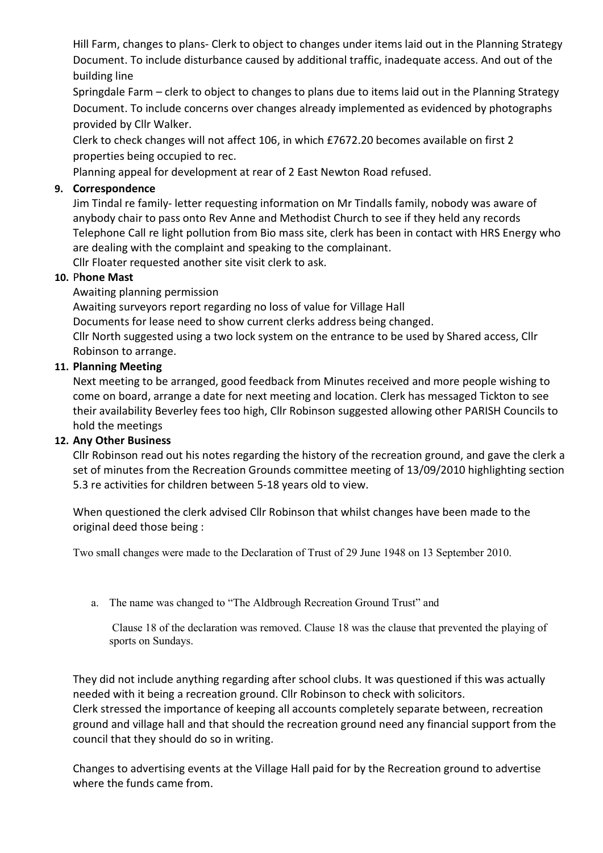Hill Farm, changes to plans- Clerk to object to changes under items laid out in the Planning Strategy Document. To include disturbance caused by additional traffic, inadequate access. And out of the building line

Springdale Farm – clerk to object to changes to plans due to items laid out in the Planning Strategy Document. To include concerns over changes already implemented as evidenced by photographs provided by Cllr Walker.

Clerk to check changes will not affect 106, in which £7672.20 becomes available on first 2 properties being occupied to rec.

Planning appeal for development at rear of 2 East Newton Road refused.

# 9. Correspondence

Jim Tindal re family- letter requesting information on Mr Tindalls family, nobody was aware of anybody chair to pass onto Rev Anne and Methodist Church to see if they held any records Telephone Call re light pollution from Bio mass site, clerk has been in contact with HRS Energy who are dealing with the complaint and speaking to the complainant.

Cllr Floater requested another site visit clerk to ask.

# 10. Phone Mast

Awaiting planning permission

Awaiting surveyors report regarding no loss of value for Village Hall

Documents for lease need to show current clerks address being changed.

Cllr North suggested using a two lock system on the entrance to be used by Shared access, Cllr Robinson to arrange.

# 11. Planning Meeting

Next meeting to be arranged, good feedback from Minutes received and more people wishing to come on board, arrange a date for next meeting and location. Clerk has messaged Tickton to see their availability Beverley fees too high, Cllr Robinson suggested allowing other PARISH Councils to hold the meetings

## 12. Any Other Business

Cllr Robinson read out his notes regarding the history of the recreation ground, and gave the clerk a set of minutes from the Recreation Grounds committee meeting of 13/09/2010 highlighting section 5.3 re activities for children between 5-18 years old to view.

When questioned the clerk advised Cllr Robinson that whilst changes have been made to the original deed those being :

Two small changes were made to the Declaration of Trust of 29 June 1948 on 13 September 2010.

a. The name was changed to "The Aldbrough Recreation Ground Trust" and

 Clause 18 of the declaration was removed. Clause 18 was the clause that prevented the playing of sports on Sundays.

They did not include anything regarding after school clubs. It was questioned if this was actually needed with it being a recreation ground. Cllr Robinson to check with solicitors. Clerk stressed the importance of keeping all accounts completely separate between, recreation ground and village hall and that should the recreation ground need any financial support from the council that they should do so in writing.

Changes to advertising events at the Village Hall paid for by the Recreation ground to advertise where the funds came from.